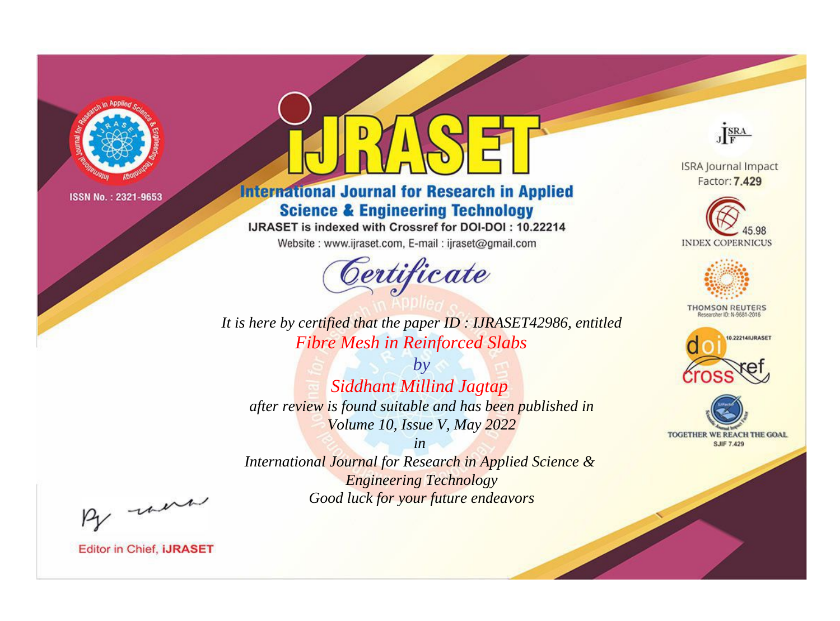

# **International Journal for Research in Applied Science & Engineering Technology**

IJRASET is indexed with Crossref for DOI-DOI: 10.22214

Website: www.ijraset.com, E-mail: ijraset@gmail.com



JERA

**ISRA Journal Impact** Factor: 7.429





**THOMSON REUTERS** 



TOGETHER WE REACH THE GOAL **SJIF 7.429** 

*It is here by certified that the paper ID : IJRASET42986, entitled Fibre Mesh in Reinforced Slabs*

*by Siddhant Millind Jagtap after review is found suitable and has been published in Volume 10, Issue V, May 2022*

*in* 

*International Journal for Research in Applied Science & Engineering Technology Good luck for your future endeavors*

By morn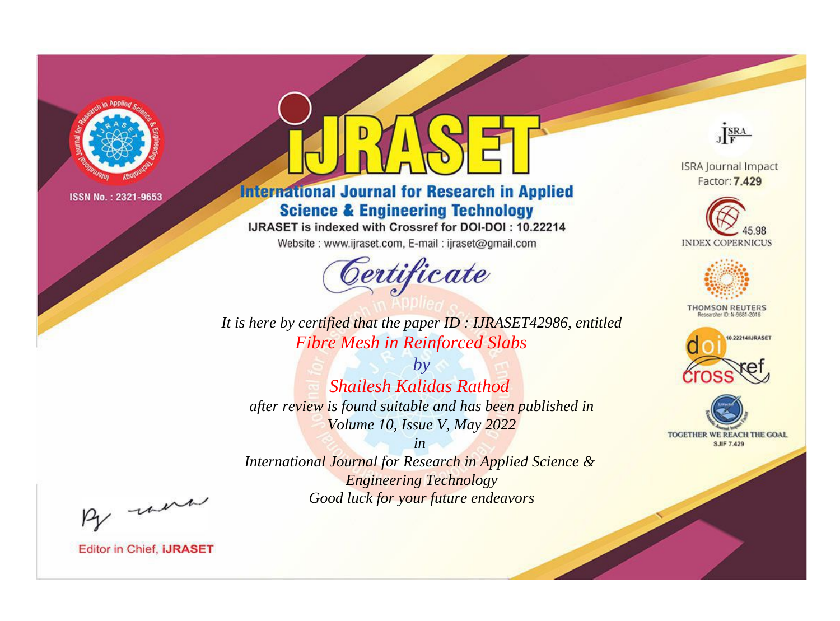

# **International Journal for Research in Applied Science & Engineering Technology**

IJRASET is indexed with Crossref for DOI-DOI: 10.22214

Website: www.ijraset.com, E-mail: ijraset@gmail.com



JERA

**ISRA Journal Impact** Factor: 7.429





**THOMSON REUTERS** 



TOGETHER WE REACH THE GOAL **SJIF 7.429** 

*It is here by certified that the paper ID : IJRASET42986, entitled Fibre Mesh in Reinforced Slabs*

*by Shailesh Kalidas Rathod after review is found suitable and has been published in Volume 10, Issue V, May 2022*

*in* 

*International Journal for Research in Applied Science & Engineering Technology Good luck for your future endeavors*

By morn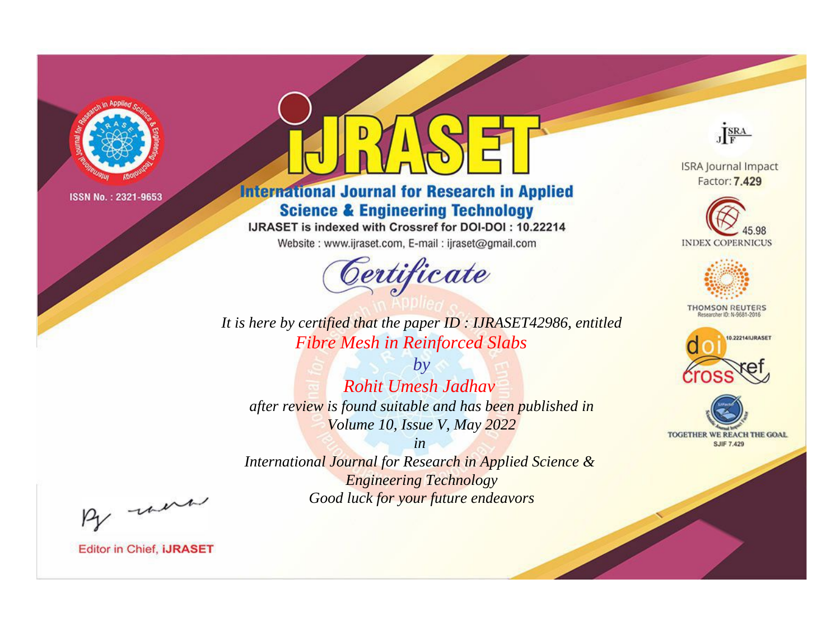

# **International Journal for Research in Applied Science & Engineering Technology**

IJRASET is indexed with Crossref for DOI-DOI: 10.22214

Website: www.ijraset.com, E-mail: ijraset@gmail.com



JERA

**ISRA Journal Impact** Factor: 7.429





**THOMSON REUTERS** 



TOGETHER WE REACH THE GOAL **SJIF 7.429** 

*It is here by certified that the paper ID : IJRASET42986, entitled Fibre Mesh in Reinforced Slabs*

*by Rohit Umesh Jadhav after review is found suitable and has been published in Volume 10, Issue V, May 2022*

*in* 

*International Journal for Research in Applied Science & Engineering Technology Good luck for your future endeavors*

By morn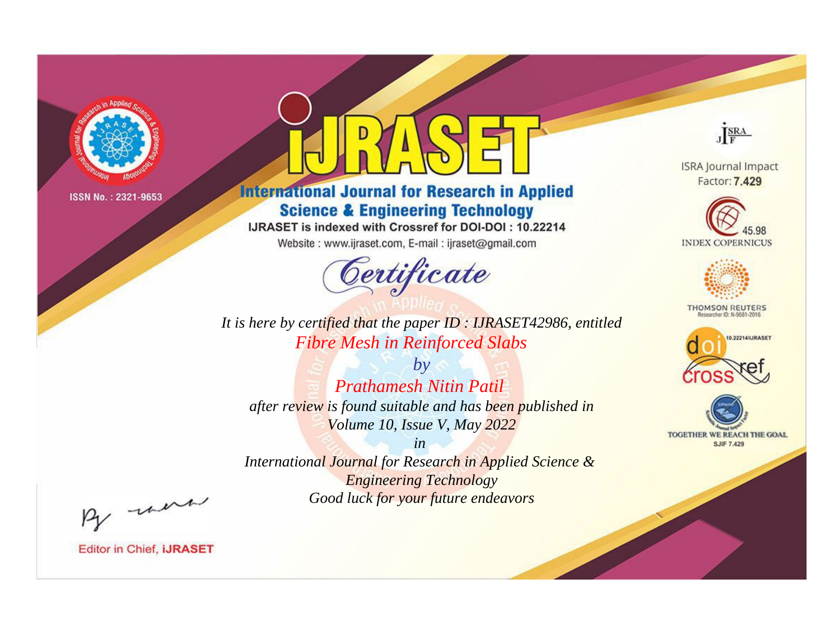

# **International Journal for Research in Applied Science & Engineering Technology**

IJRASET is indexed with Crossref for DOI-DOI: 10.22214

Website: www.ijraset.com, E-mail: ijraset@gmail.com



JERA

**ISRA Journal Impact** Factor: 7.429





**THOMSON REUTERS** 



TOGETHER WE REACH THE GOAL **SJIF 7.429** 

*It is here by certified that the paper ID : IJRASET42986, entitled Fibre Mesh in Reinforced Slabs*

*by Prathamesh Nitin Patil after review is found suitable and has been published in Volume 10, Issue V, May 2022*

*in* 

*International Journal for Research in Applied Science & Engineering Technology Good luck for your future endeavors*

By morn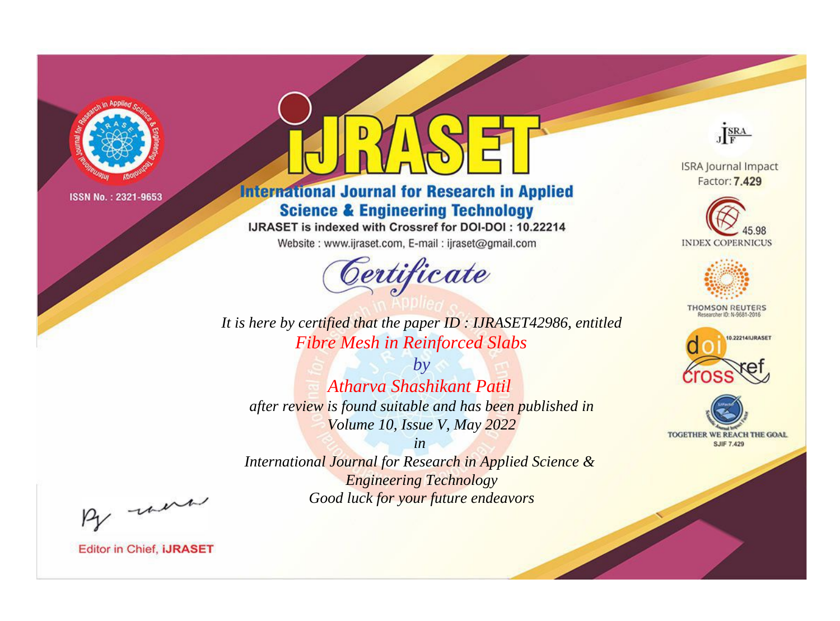

# **International Journal for Research in Applied Science & Engineering Technology**

IJRASET is indexed with Crossref for DOI-DOI: 10.22214

Website: www.ijraset.com, E-mail: ijraset@gmail.com



JERA

**ISRA Journal Impact** Factor: 7.429





**THOMSON REUTERS** 



TOGETHER WE REACH THE GOAL **SJIF 7.429** 

*It is here by certified that the paper ID : IJRASET42986, entitled Fibre Mesh in Reinforced Slabs*

*by Atharva Shashikant Patil after review is found suitable and has been published in Volume 10, Issue V, May 2022*

*in* 

*International Journal for Research in Applied Science & Engineering Technology Good luck for your future endeavors*

By morn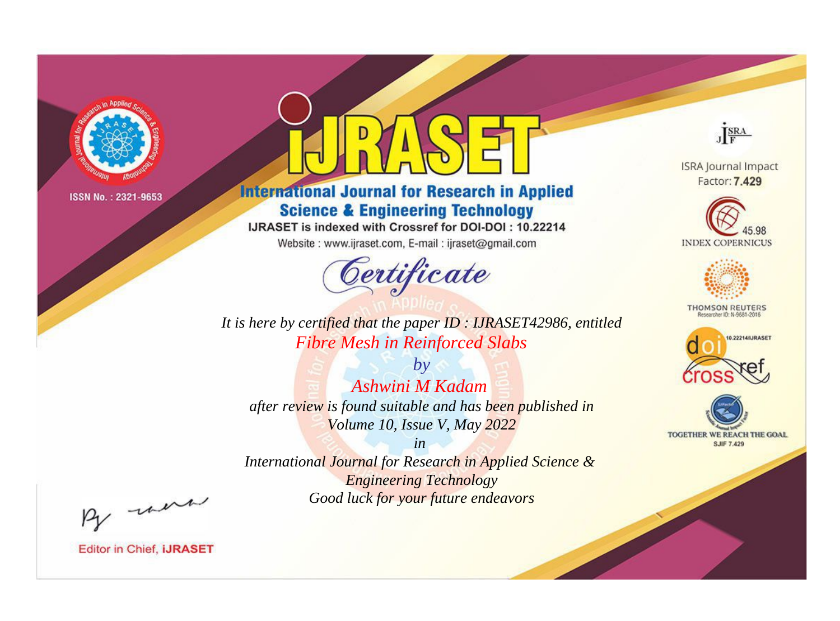

# **International Journal for Research in Applied Science & Engineering Technology**

IJRASET is indexed with Crossref for DOI-DOI: 10.22214

Website: www.ijraset.com, E-mail: ijraset@gmail.com



JERA

**ISRA Journal Impact** Factor: 7.429





**THOMSON REUTERS** 



TOGETHER WE REACH THE GOAL **SJIF 7.429** 

*It is here by certified that the paper ID : IJRASET42986, entitled Fibre Mesh in Reinforced Slabs*

*by Ashwini M Kadam after review is found suitable and has been published in Volume 10, Issue V, May 2022*

*in* 

*International Journal for Research in Applied Science & Engineering Technology Good luck for your future endeavors*

By morn